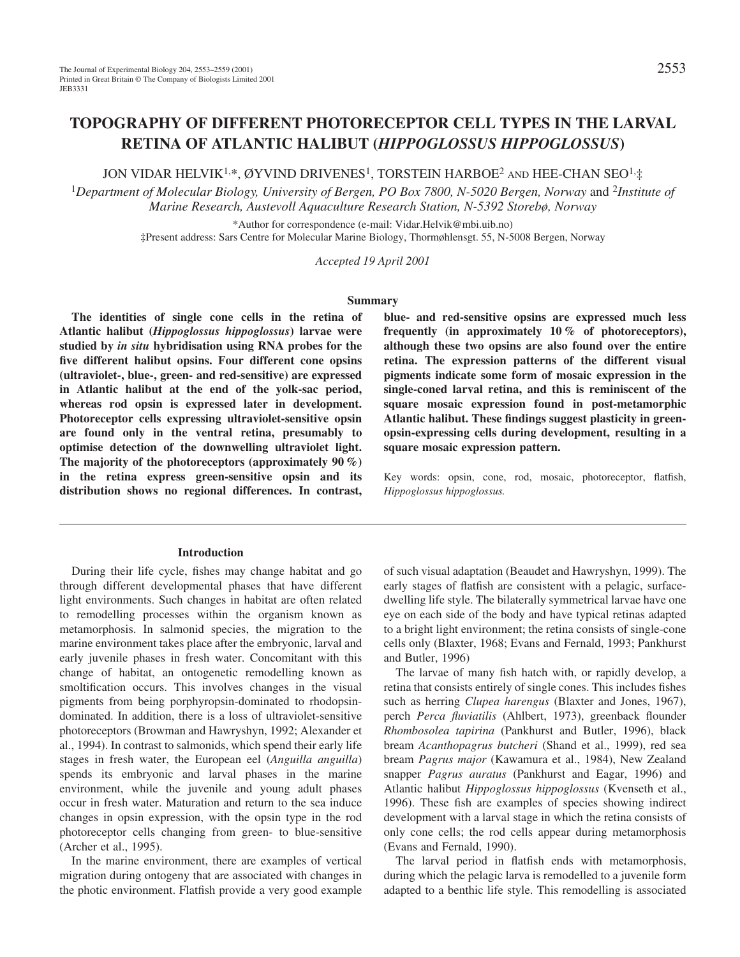JON VIDAR HELVIK<sup>1,\*</sup>, ØYVIND DRIVENES<sup>1</sup>, TORSTEIN HARBOE<sup>2</sup> AND HEE-CHAN SEO<sup>1,</sup>‡

<sup>1</sup>*Department of Molecular Biology, University of Bergen, PO Box 7800, N-5020 Bergen, Norway* and 2*Institute of Marine Research, Austevoll Aquaculture Research Station, N-5392 Storebø, Norway*

> \*Author for correspondence (e-mail: Vidar.Helvik@mbi.uib.no) ‡Present address: Sars Centre for Molecular Marine Biology, Thormøhlensgt. 55, N-5008 Bergen, Norway

> > *Accepted 19 April 2001*

#### **Summary**

**The identities of single cone cells in the retina of Atlantic halibut (***Hippoglossus hippoglossus***) larvae were studied by** *in situ* **hybridisation using RNA probes for the five different halibut opsins. Four different cone opsins (ultraviolet-, blue-, green- and red-sensitive) are expressed in Atlantic halibut at the end of the yolk-sac period, whereas rod opsin is expressed later in development. Photoreceptor cells expressing ultraviolet-sensitive opsin are found only in the ventral retina, presumably to optimise detection of the downwelling ultraviolet light. The majority of the photoreceptors (approximately 90 %) in the retina express green-sensitive opsin and its distribution shows no regional differences. In contrast,**

#### **Introduction**

During their life cycle, fishes may change habitat and go through different developmental phases that have different light environments. Such changes in habitat are often related to remodelling processes within the organism known as metamorphosis. In salmonid species, the migration to the marine environment takes place after the embryonic, larval and early juvenile phases in fresh water. Concomitant with this change of habitat, an ontogenetic remodelling known as smoltification occurs. This involves changes in the visual pigments from being porphyropsin-dominated to rhodopsindominated. In addition, there is a loss of ultraviolet-sensitive photoreceptors (Browman and Hawryshyn, 1992; Alexander et al., 1994). In contrast to salmonids, which spend their early life stages in fresh water, the European eel (*Anguilla anguilla*) spends its embryonic and larval phases in the marine environment, while the juvenile and young adult phases occur in fresh water. Maturation and return to the sea induce changes in opsin expression, with the opsin type in the rod photoreceptor cells changing from green- to blue-sensitive (Archer et al., 1995).

In the marine environment, there are examples of vertical migration during ontogeny that are associated with changes in the photic environment. Flatfish provide a very good example

**blue- and red-sensitive opsins are expressed much less frequently (in approximately 10 % of photoreceptors), although these two opsins are also found over the entire retina. The expression patterns of the different visual pigments indicate some form of mosaic expression in the single-coned larval retina, and this is reminiscent of the square mosaic expression found in post-metamorphic Atlantic halibut. These findings suggest plasticity in greenopsin-expressing cells during development, resulting in a square mosaic expression pattern.**

Key words: opsin, cone, rod, mosaic, photoreceptor, flatfish, *Hippoglossus hippoglossus.*

of such visual adaptation (Beaudet and Hawryshyn, 1999). The early stages of flatfish are consistent with a pelagic, surfacedwelling life style. The bilaterally symmetrical larvae have one eye on each side of the body and have typical retinas adapted to a bright light environment; the retina consists of single-cone cells only (Blaxter, 1968; Evans and Fernald, 1993; Pankhurst and Butler, 1996)

The larvae of many fish hatch with, or rapidly develop, a retina that consists entirely of single cones. This includes fishes such as herring *Clupea harengus* (Blaxter and Jones, 1967), perch *Perca fluviatilis* (Ahlbert, 1973), greenback flounder *Rhombosolea tapirina* (Pankhurst and Butler, 1996), black bream *Acanthopagrus butcheri* (Shand et al., 1999), red sea bream *Pagrus major* (Kawamura et al., 1984), New Zealand snapper *Pagrus auratus* (Pankhurst and Eagar, 1996) and Atlantic halibut *Hippoglossus hippoglossus* (Kvenseth et al., 1996). These fish are examples of species showing indirect development with a larval stage in which the retina consists of only cone cells; the rod cells appear during metamorphosis (Evans and Fernald, 1990).

The larval period in flatfish ends with metamorphosis, during which the pelagic larva is remodelled to a juvenile form adapted to a benthic life style. This remodelling is associated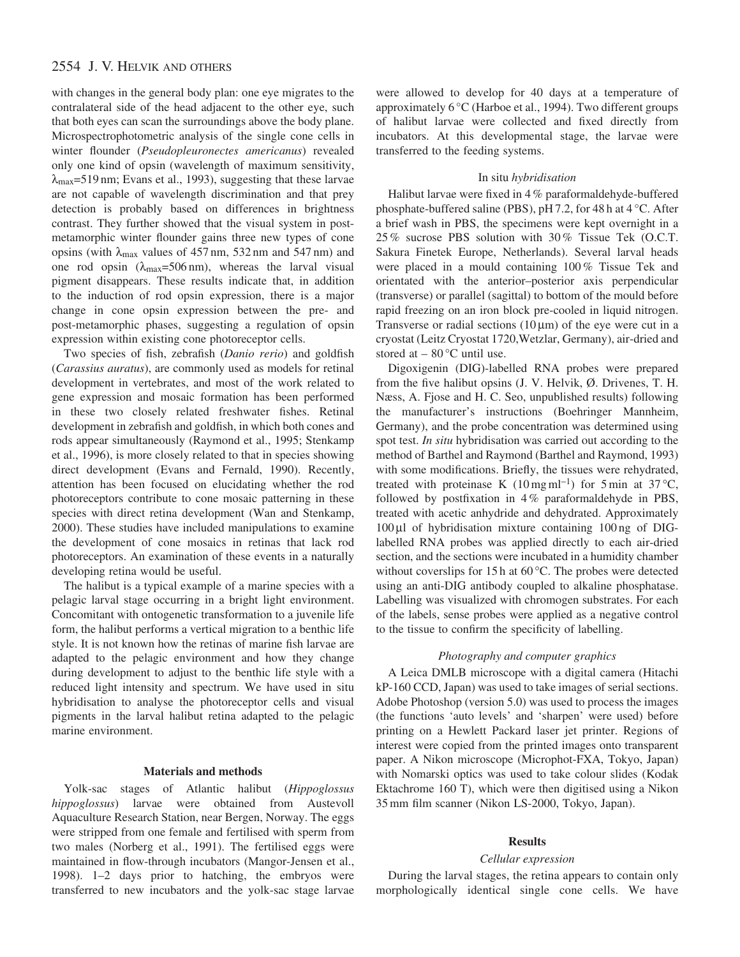# 2554 J. V. HELVIK AND OTHERS

with changes in the general body plan: one eye migrates to the contralateral side of the head adjacent to the other eye, such that both eyes can scan the surroundings above the body plane. Microspectrophotometric analysis of the single cone cells in winter flounder (*Pseudopleuronectes americanus*) revealed only one kind of opsin (wavelength of maximum sensitivity,  $\lambda_{\text{max}}$ =519 nm; Evans et al., 1993), suggesting that these larvae are not capable of wavelength discrimination and that prey detection is probably based on differences in brightness contrast. They further showed that the visual system in postmetamorphic winter flounder gains three new types of cone opsins (with  $\lambda_{\text{max}}$  values of 457 nm, 532 nm and 547 nm) and one rod opsin  $(\lambda_{\text{max}}=506 \text{ nm})$ , whereas the larval visual pigment disappears. These results indicate that, in addition to the induction of rod opsin expression, there is a major change in cone opsin expression between the pre- and post-metamorphic phases, suggesting a regulation of opsin expression within existing cone photoreceptor cells.

Two species of fish, zebrafish (*Danio rerio*) and goldfish (*Carassius auratus*), are commonly used as models for retinal development in vertebrates, and most of the work related to gene expression and mosaic formation has been performed in these two closely related freshwater fishes. Retinal development in zebrafish and goldfish, in which both cones and rods appear simultaneously (Raymond et al., 1995; Stenkamp et al., 1996), is more closely related to that in species showing direct development (Evans and Fernald, 1990). Recently, attention has been focused on elucidating whether the rod photoreceptors contribute to cone mosaic patterning in these species with direct retina development (Wan and Stenkamp, 2000). These studies have included manipulations to examine the development of cone mosaics in retinas that lack rod photoreceptors. An examination of these events in a naturally developing retina would be useful.

The halibut is a typical example of a marine species with a pelagic larval stage occurring in a bright light environment. Concomitant with ontogenetic transformation to a juvenile life form, the halibut performs a vertical migration to a benthic life style. It is not known how the retinas of marine fish larvae are adapted to the pelagic environment and how they change during development to adjust to the benthic life style with a reduced light intensity and spectrum. We have used in situ hybridisation to analyse the photoreceptor cells and visual pigments in the larval halibut retina adapted to the pelagic marine environment.

### **Materials and methods**

Yolk-sac stages of Atlantic halibut (*Hippoglossus hippoglossus*) larvae were obtained from Austevoll Aquaculture Research Station, near Bergen, Norway. The eggs were stripped from one female and fertilised with sperm from two males (Norberg et al., 1991). The fertilised eggs were maintained in flow-through incubators (Mangor-Jensen et al., 1998). 1–2 days prior to hatching, the embryos were transferred to new incubators and the yolk-sac stage larvae

were allowed to develop for 40 days at a temperature of approximately 6 °C (Harboe et al., 1994). Two different groups of halibut larvae were collected and fixed directly from incubators. At this developmental stage, the larvae were transferred to the feeding systems.

### In situ *hybridisation*

Halibut larvae were fixed in 4 % paraformaldehyde-buffered phosphate-buffered saline (PBS), pH 7.2, for 48 h at 4 °C. After a brief wash in PBS, the specimens were kept overnight in a 25 % sucrose PBS solution with 30 % Tissue Tek (O.C.T. Sakura Finetek Europe, Netherlands). Several larval heads were placed in a mould containing 100 % Tissue Tek and orientated with the anterior–posterior axis perpendicular (transverse) or parallel (sagittal) to bottom of the mould before rapid freezing on an iron block pre-cooled in liquid nitrogen. Transverse or radial sections  $(10 \mu m)$  of the eye were cut in a cryostat (Leitz Cryostat 1720,Wetzlar, Germany), air-dried and stored at  $-80^{\circ}$ C until use.

Digoxigenin (DIG)-labelled RNA probes were prepared from the five halibut opsins (J. V. Helvik, Ø. Drivenes, T. H. Næss, A. Fjose and H. C. Seo, unpublished results) following the manufacturer's instructions (Boehringer Mannheim, Germany), and the probe concentration was determined using spot test. *In situ* hybridisation was carried out according to the method of Barthel and Raymond (Barthel and Raymond, 1993) with some modifications. Briefly, the tissues were rehydrated, treated with proteinase K (10 mg ml<sup>-1</sup>) for 5 min at 37 °C, followed by postfixation in 4% paraformaldehyde in PBS, treated with acetic anhydride and dehydrated. Approximately 100 µl of hybridisation mixture containing 100 ng of DIGlabelled RNA probes was applied directly to each air-dried section, and the sections were incubated in a humidity chamber without coverslips for 15 h at 60 °C. The probes were detected using an anti-DIG antibody coupled to alkaline phosphatase. Labelling was visualized with chromogen substrates. For each of the labels, sense probes were applied as a negative control to the tissue to confirm the specificity of labelling.

### *Photography and computer graphics*

A Leica DMLB microscope with a digital camera (Hitachi kP-160 CCD, Japan) was used to take images of serial sections. Adobe Photoshop (version 5.0) was used to process the images (the functions 'auto levels' and 'sharpen' were used) before printing on a Hewlett Packard laser jet printer. Regions of interest were copied from the printed images onto transparent paper. A Nikon microscope (Microphot-FXA, Tokyo, Japan) with Nomarski optics was used to take colour slides (Kodak Ektachrome 160 T), which were then digitised using a Nikon 35 mm film scanner (Nikon LS-2000, Tokyo, Japan).

### **Results**

### *Cellular expression*

During the larval stages, the retina appears to contain only morphologically identical single cone cells. We have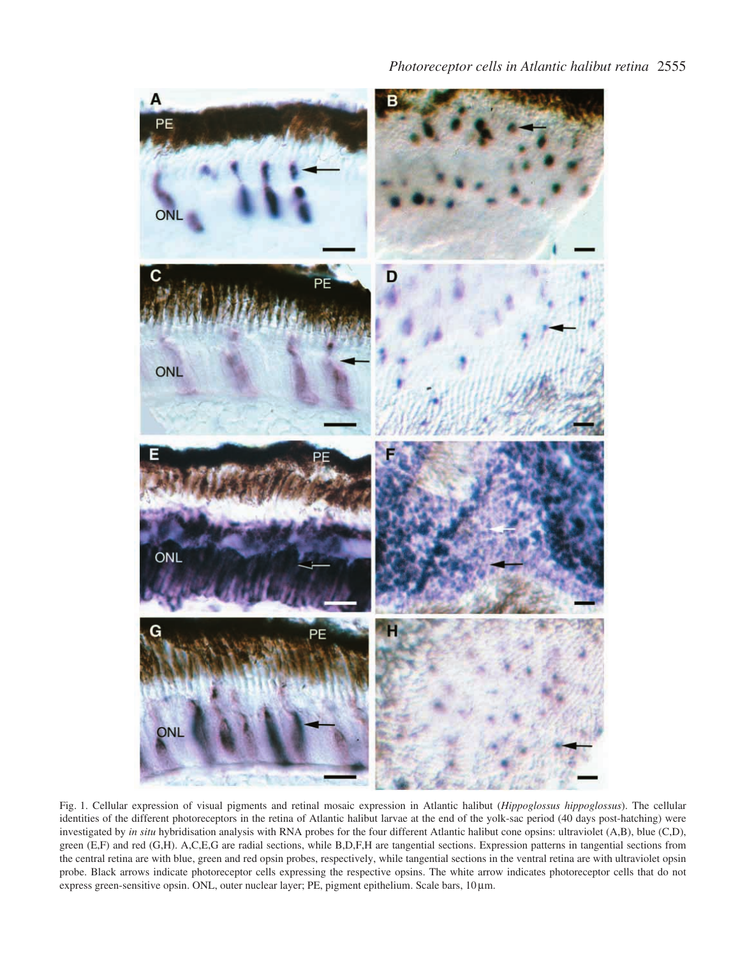

Fig. 1. Cellular expression of visual pigments and retinal mosaic expression in Atlantic halibut (*Hippoglossus hippoglossus*). The cellular identities of the different photoreceptors in the retina of Atlantic halibut larvae at the end of the yolk-sac period (40 days post-hatching) were investigated by *in situ* hybridisation analysis with RNA probes for the four different Atlantic halibut cone opsins: ultraviolet (A,B), blue (C,D), green (E,F) and red (G,H). A,C,E,G are radial sections, while B,D,F,H are tangential sections. Expression patterns in tangential sections from the central retina are with blue, green and red opsin probes, respectively, while tangential sections in the ventral retina are with ultraviolet opsin probe. Black arrows indicate photoreceptor cells expressing the respective opsins. The white arrow indicates photoreceptor cells that do not express green-sensitive opsin. ONL, outer nuclear layer; PE, pigment epithelium. Scale bars, 10 µm.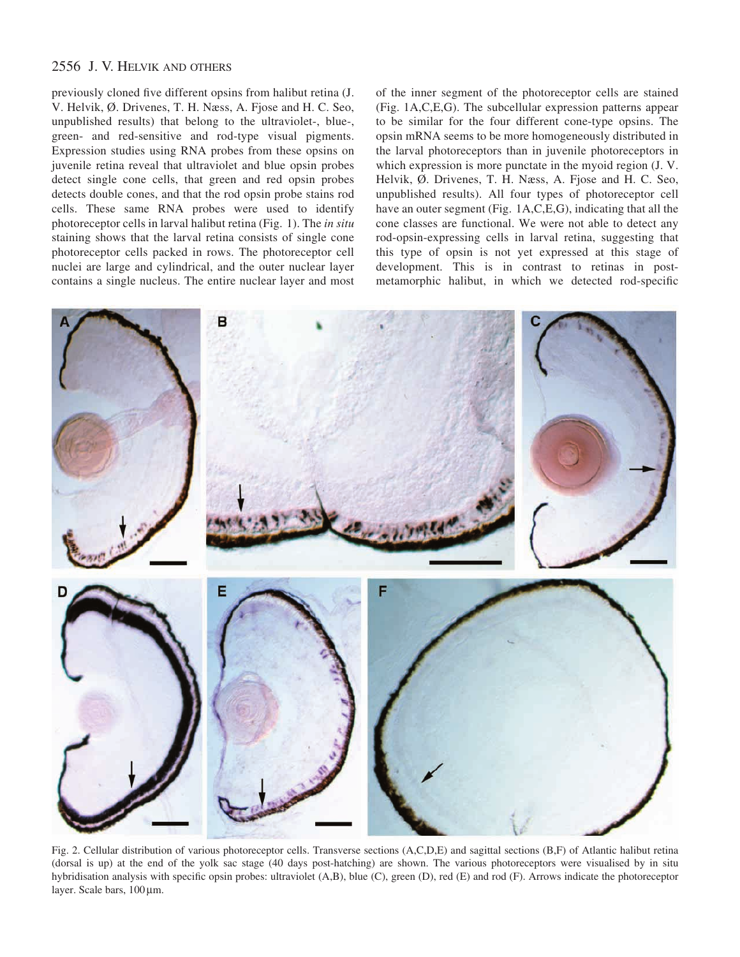# 2556 J. V. HELVIK AND OTHERS

previously cloned five different opsins from halibut retina (J. V. Helvik, Ø. Drivenes, T. H. Næss, A. Fjose and H. C. Seo, unpublished results) that belong to the ultraviolet-, blue-, green- and red-sensitive and rod-type visual pigments. Expression studies using RNA probes from these opsins on juvenile retina reveal that ultraviolet and blue opsin probes detect single cone cells, that green and red opsin probes detects double cones, and that the rod opsin probe stains rod cells. These same RNA probes were used to identify photoreceptor cells in larval halibut retina (Fig. 1). The *in situ* staining shows that the larval retina consists of single cone photoreceptor cells packed in rows. The photoreceptor cell nuclei are large and cylindrical, and the outer nuclear layer contains a single nucleus. The entire nuclear layer and most

of the inner segment of the photoreceptor cells are stained (Fig. 1A,C,E,G). The subcellular expression patterns appear to be similar for the four different cone-type opsins. The opsin mRNA seems to be more homogeneously distributed in the larval photoreceptors than in juvenile photoreceptors in which expression is more punctate in the myoid region (J. V. Helvik, Ø. Drivenes, T. H. Næss, A. Fjose and H. C. Seo, unpublished results). All four types of photoreceptor cell have an outer segment (Fig. 1A,C,E,G), indicating that all the cone classes are functional. We were not able to detect any rod-opsin-expressing cells in larval retina, suggesting that this type of opsin is not yet expressed at this stage of development. This is in contrast to retinas in postmetamorphic halibut, in which we detected rod-specific



Fig. 2. Cellular distribution of various photoreceptor cells. Transverse sections (A,C,D,E) and sagittal sections (B,F) of Atlantic halibut retina (dorsal is up) at the end of the yolk sac stage (40 days post-hatching) are shown. The various photoreceptors were visualised by in situ hybridisation analysis with specific opsin probes: ultraviolet (A,B), blue (C), green (D), red (E) and rod (F). Arrows indicate the photoreceptor layer. Scale bars,  $100 \,\mu m$ .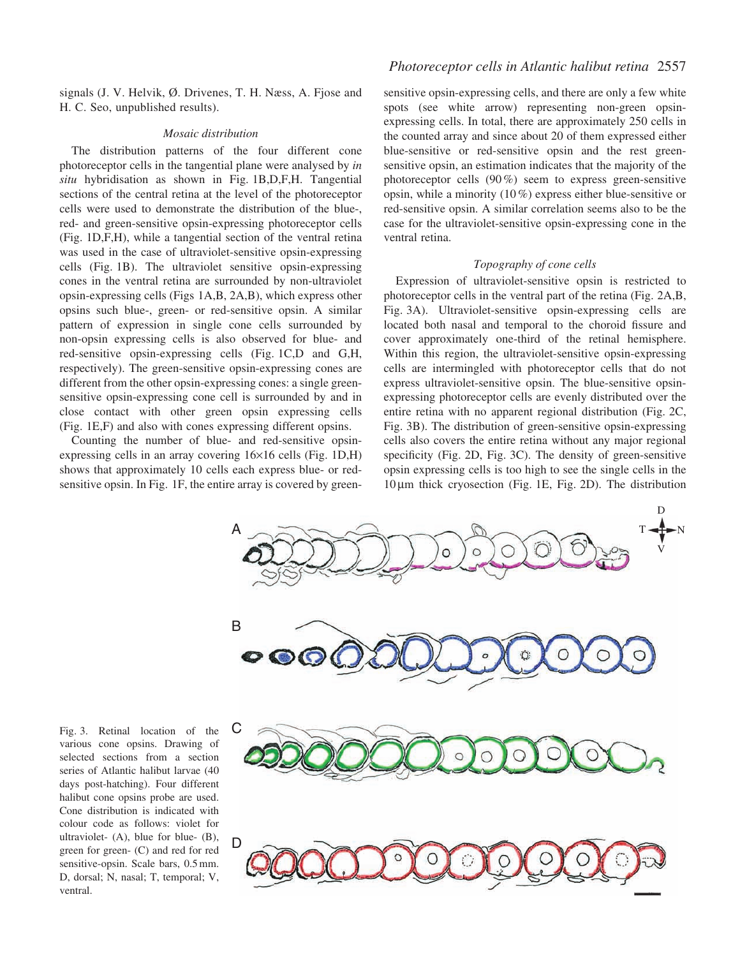signals (J. V. Helvik, Ø. Drivenes, T. H. Næss, A. Fjose and H. C. Seo, unpublished results).

#### *Mosaic distribution*

The distribution patterns of the four different cone photoreceptor cells in the tangential plane were analysed by *in situ* hybridisation as shown in Fig. 1B,D,F,H. Tangential sections of the central retina at the level of the photoreceptor cells were used to demonstrate the distribution of the blue-, red- and green-sensitive opsin-expressing photoreceptor cells (Fig. 1D,F,H), while a tangential section of the ventral retina was used in the case of ultraviolet-sensitive opsin-expressing cells (Fig. 1B). The ultraviolet sensitive opsin-expressing cones in the ventral retina are surrounded by non-ultraviolet opsin-expressing cells (Figs 1A,B, 2A,B), which express other opsins such blue-, green- or red-sensitive opsin. A similar pattern of expression in single cone cells surrounded by non-opsin expressing cells is also observed for blue- and red-sensitive opsin-expressing cells (Fig. 1C,D and G,H, respectively). The green-sensitive opsin-expressing cones are different from the other opsin-expressing cones: a single greensensitive opsin-expressing cone cell is surrounded by and in close contact with other green opsin expressing cells (Fig. 1E,F) and also with cones expressing different opsins.

Counting the number of blue- and red-sensitive opsinexpressing cells in an array covering 16×16 cells (Fig. 1D,H) shows that approximately 10 cells each express blue- or redsensitive opsin. In Fig. 1F, the entire array is covered by green-

sensitive opsin-expressing cells, and there are only a few white spots (see white arrow) representing non-green opsinexpressing cells. In total, there are approximately 250 cells in the counted array and since about 20 of them expressed either blue-sensitive or red-sensitive opsin and the rest greensensitive opsin, an estimation indicates that the majority of the photoreceptor cells (90 %) seem to express green-sensitive opsin, while a minority (10 %) express either blue-sensitive or red-sensitive opsin. A similar correlation seems also to be the case for the ultraviolet-sensitive opsin-expressing cone in the ventral retina.

#### *Topography of cone cells*

Expression of ultraviolet-sensitive opsin is restricted to photoreceptor cells in the ventral part of the retina (Fig. 2A,B, Fig. 3A). Ultraviolet-sensitive opsin-expressing cells are located both nasal and temporal to the choroid fissure and cover approximately one-third of the retinal hemisphere. Within this region, the ultraviolet-sensitive opsin-expressing cells are intermingled with photoreceptor cells that do not express ultraviolet-sensitive opsin. The blue-sensitive opsinexpressing photoreceptor cells are evenly distributed over the entire retina with no apparent regional distribution (Fig. 2C, Fig. 3B). The distribution of green-sensitive opsin-expressing cells also covers the entire retina without any major regional specificity (Fig. 2D, Fig. 3C). The density of green-sensitive opsin expressing cells is too high to see the single cells in the 10 µm thick cryosection (Fig. 1E, Fig. 2D). The distribution



Fig. 3. Retinal location of the various cone opsins. Drawing of selected sections from a section series of Atlantic halibut larvae (40 days post-hatching). Four different halibut cone opsins probe are used. Cone distribution is indicated with colour code as follows: violet for ultraviolet- (A), blue for blue- (B), green for green- (C) and red for red sensitive-opsin. Scale bars, 0.5 mm. D, dorsal; N, nasal; T, temporal; V, ventral.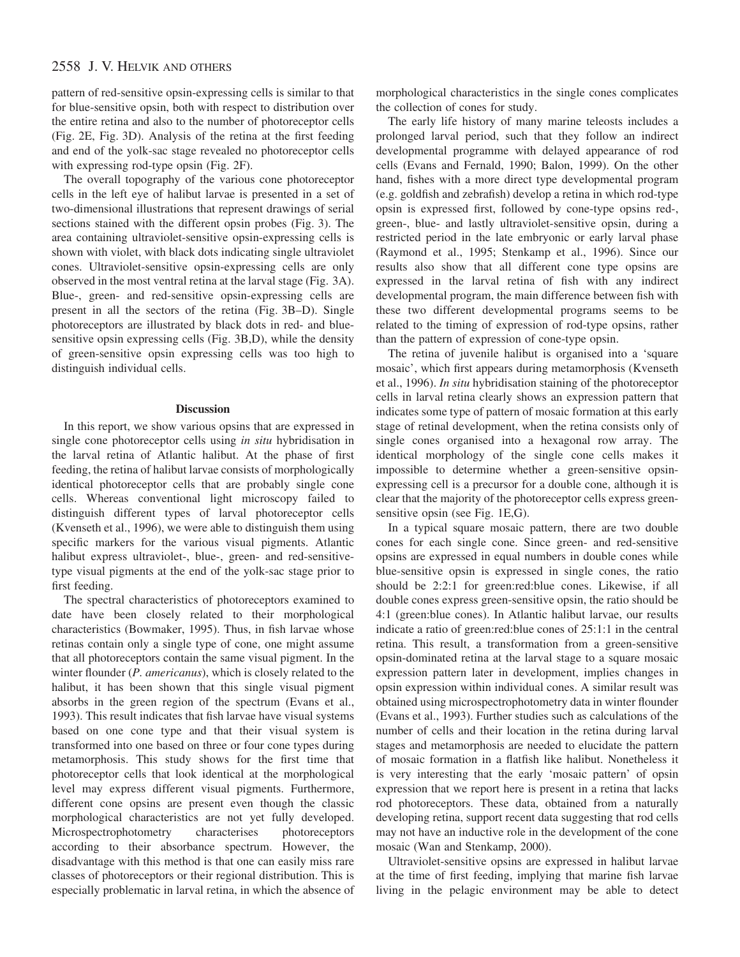# 2558 J. V. HELVIK AND OTHERS

pattern of red-sensitive opsin-expressing cells is similar to that for blue-sensitive opsin, both with respect to distribution over the entire retina and also to the number of photoreceptor cells (Fig. 2E, Fig. 3D). Analysis of the retina at the first feeding and end of the yolk-sac stage revealed no photoreceptor cells with expressing rod-type opsin (Fig. 2F).

The overall topography of the various cone photoreceptor cells in the left eye of halibut larvae is presented in a set of two-dimensional illustrations that represent drawings of serial sections stained with the different opsin probes (Fig. 3). The area containing ultraviolet-sensitive opsin-expressing cells is shown with violet, with black dots indicating single ultraviolet cones. Ultraviolet-sensitive opsin-expressing cells are only observed in the most ventral retina at the larval stage (Fig. 3A). Blue-, green- and red-sensitive opsin-expressing cells are present in all the sectors of the retina (Fig. 3B–D). Single photoreceptors are illustrated by black dots in red- and bluesensitive opsin expressing cells (Fig. 3B,D), while the density of green-sensitive opsin expressing cells was too high to distinguish individual cells.

#### **Discussion**

In this report, we show various opsins that are expressed in single cone photoreceptor cells using *in situ* hybridisation in the larval retina of Atlantic halibut. At the phase of first feeding, the retina of halibut larvae consists of morphologically identical photoreceptor cells that are probably single cone cells. Whereas conventional light microscopy failed to distinguish different types of larval photoreceptor cells (Kvenseth et al., 1996), we were able to distinguish them using specific markers for the various visual pigments. Atlantic halibut express ultraviolet-, blue-, green- and red-sensitivetype visual pigments at the end of the yolk-sac stage prior to first feeding.

The spectral characteristics of photoreceptors examined to date have been closely related to their morphological characteristics (Bowmaker, 1995). Thus, in fish larvae whose retinas contain only a single type of cone, one might assume that all photoreceptors contain the same visual pigment. In the winter flounder (*P. americanus*), which is closely related to the halibut, it has been shown that this single visual pigment absorbs in the green region of the spectrum (Evans et al., 1993). This result indicates that fish larvae have visual systems based on one cone type and that their visual system is transformed into one based on three or four cone types during metamorphosis. This study shows for the first time that photoreceptor cells that look identical at the morphological level may express different visual pigments. Furthermore, different cone opsins are present even though the classic morphological characteristics are not yet fully developed. Microspectrophotometry characterises photoreceptors according to their absorbance spectrum. However, the disadvantage with this method is that one can easily miss rare classes of photoreceptors or their regional distribution. This is especially problematic in larval retina, in which the absence of morphological characteristics in the single cones complicates the collection of cones for study.

The early life history of many marine teleosts includes a prolonged larval period, such that they follow an indirect developmental programme with delayed appearance of rod cells (Evans and Fernald, 1990; Balon, 1999). On the other hand, fishes with a more direct type developmental program (e.g. goldfish and zebrafish) develop a retina in which rod-type opsin is expressed first, followed by cone-type opsins red-, green-, blue- and lastly ultraviolet-sensitive opsin, during a restricted period in the late embryonic or early larval phase (Raymond et al., 1995; Stenkamp et al., 1996). Since our results also show that all different cone type opsins are expressed in the larval retina of fish with any indirect developmental program, the main difference between fish with these two different developmental programs seems to be related to the timing of expression of rod-type opsins, rather than the pattern of expression of cone-type opsin.

The retina of juvenile halibut is organised into a 'square mosaic', which first appears during metamorphosis (Kvenseth et al., 1996). *In situ* hybridisation staining of the photoreceptor cells in larval retina clearly shows an expression pattern that indicates some type of pattern of mosaic formation at this early stage of retinal development, when the retina consists only of single cones organised into a hexagonal row array. The identical morphology of the single cone cells makes it impossible to determine whether a green-sensitive opsinexpressing cell is a precursor for a double cone, although it is clear that the majority of the photoreceptor cells express greensensitive opsin (see Fig. 1E,G).

In a typical square mosaic pattern, there are two double cones for each single cone. Since green- and red-sensitive opsins are expressed in equal numbers in double cones while blue-sensitive opsin is expressed in single cones, the ratio should be 2:2:1 for green:red:blue cones. Likewise, if all double cones express green-sensitive opsin, the ratio should be 4:1 (green:blue cones). In Atlantic halibut larvae, our results indicate a ratio of green:red:blue cones of 25:1:1 in the central retina. This result, a transformation from a green-sensitive opsin-dominated retina at the larval stage to a square mosaic expression pattern later in development, implies changes in opsin expression within individual cones. A similar result was obtained using microspectrophotometry data in winter flounder (Evans et al., 1993). Further studies such as calculations of the number of cells and their location in the retina during larval stages and metamorphosis are needed to elucidate the pattern of mosaic formation in a flatfish like halibut. Nonetheless it is very interesting that the early 'mosaic pattern' of opsin expression that we report here is present in a retina that lacks rod photoreceptors. These data, obtained from a naturally developing retina, support recent data suggesting that rod cells may not have an inductive role in the development of the cone mosaic (Wan and Stenkamp, 2000).

Ultraviolet-sensitive opsins are expressed in halibut larvae at the time of first feeding, implying that marine fish larvae living in the pelagic environment may be able to detect